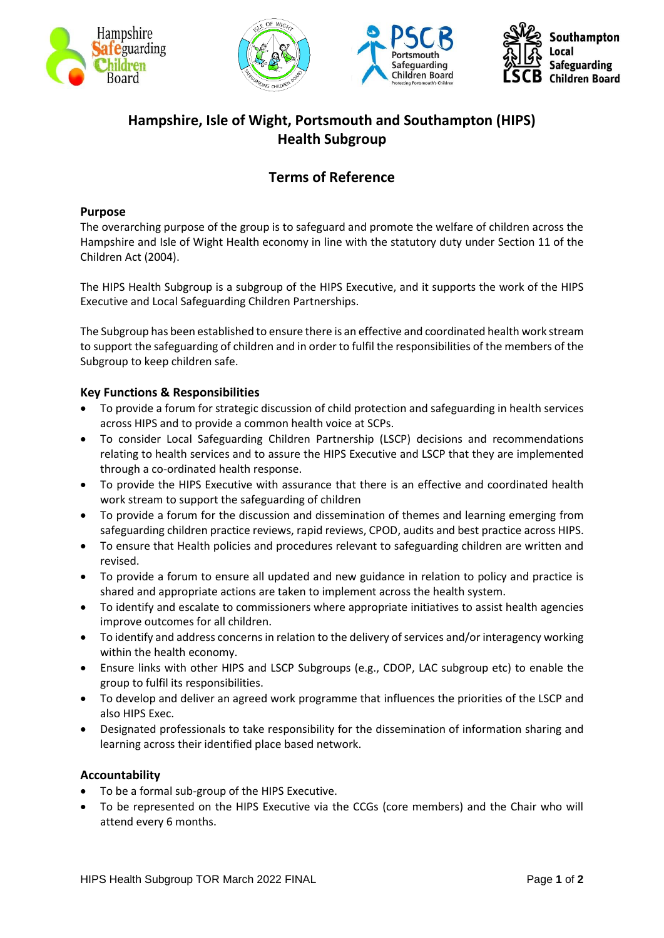







# **Hampshire, Isle of Wight, Portsmouth and Southampton (HIPS) Health Subgroup**

## **Terms of Reference**

#### **Purpose**

The overarching purpose of the group is to safeguard and promote the welfare of children across the Hampshire and Isle of Wight Health economy in line with the statutory duty under Section 11 of the Children Act (2004).

The HIPS Health Subgroup is a subgroup of the HIPS Executive, and it supports the work of the HIPS Executive and Local Safeguarding Children Partnerships.

The Subgroup has been established to ensure there is an effective and coordinated health work stream to support the safeguarding of children and in order to fulfil the responsibilities of the members of the Subgroup to keep children safe.

#### **Key Functions & Responsibilities**

- To provide a forum for strategic discussion of child protection and safeguarding in health services across HIPS and to provide a common health voice at SCPs.
- To consider Local Safeguarding Children Partnership (LSCP) decisions and recommendations relating to health services and to assure the HIPS Executive and LSCP that they are implemented through a co-ordinated health response.
- To provide the HIPS Executive with assurance that there is an effective and coordinated health work stream to support the safeguarding of children
- To provide a forum for the discussion and dissemination of themes and learning emerging from safeguarding children practice reviews, rapid reviews, CPOD, audits and best practice across HIPS.
- To ensure that Health policies and procedures relevant to safeguarding children are written and revised.
- To provide a forum to ensure all updated and new guidance in relation to policy and practice is shared and appropriate actions are taken to implement across the health system.
- To identify and escalate to commissioners where appropriate initiatives to assist health agencies improve outcomes for all children.
- To identify and address concerns in relation to the delivery of services and/or interagency working within the health economy.
- Ensure links with other HIPS and LSCP Subgroups (e.g., CDOP, LAC subgroup etc) to enable the group to fulfil its responsibilities.
- To develop and deliver an agreed work programme that influences the priorities of the LSCP and also HIPS Exec.
- Designated professionals to take responsibility for the dissemination of information sharing and learning across their identified place based network.

#### **Accountability**

- To be a formal sub-group of the HIPS Executive.
- To be represented on the HIPS Executive via the CCGs (core members) and the Chair who will attend every 6 months.